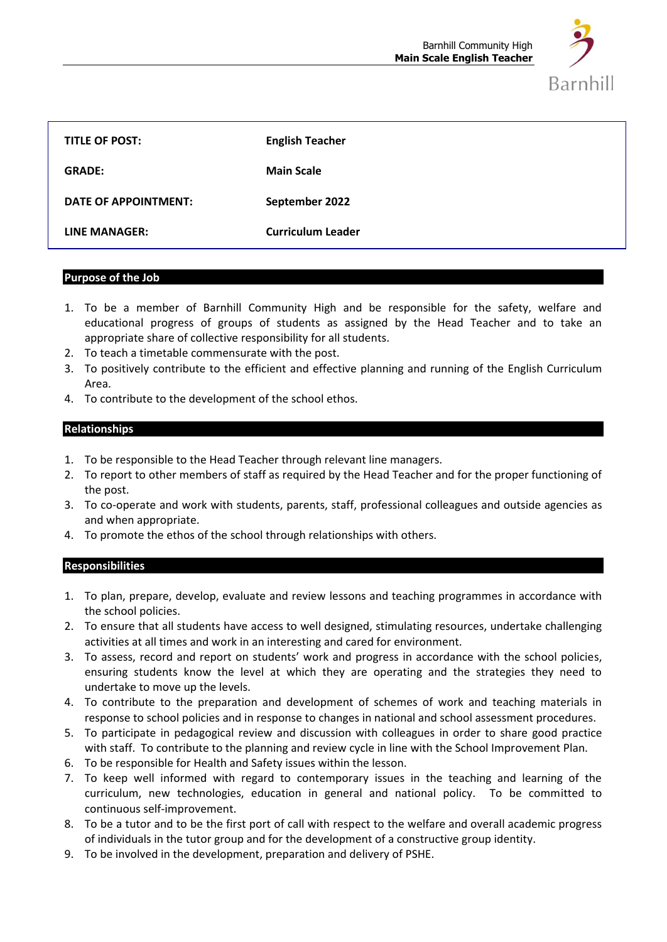

| <b>TITLE OF POST:</b> | <b>English Teacher</b>   |
|-----------------------|--------------------------|
| <b>GRADE:</b>         | <b>Main Scale</b>        |
| DATE OF APPOINTMENT:  | September 2022           |
| LINE MANAGER:         | <b>Curriculum Leader</b> |

#### **Purpose of the Job**

- 1. To be a member of Barnhill Community High and be responsible for the safety, welfare and educational progress of groups of students as assigned by the Head Teacher and to take an appropriate share of collective responsibility for all students.
- 2. To teach a timetable commensurate with the post.
- 3. To positively contribute to the efficient and effective planning and running of the English Curriculum Area.
- 4. To contribute to the development of the school ethos.

# **Relationships**

- 1. To be responsible to the Head Teacher through relevant line managers.
- 2. To report to other members of staff as required by the Head Teacher and for the proper functioning of the post.
- 3. To co-operate and work with students, parents, staff, professional colleagues and outside agencies as and when appropriate.
- 4. To promote the ethos of the school through relationships with others.

## **Responsibilities**

- 1. To plan, prepare, develop, evaluate and review lessons and teaching programmes in accordance with the school policies.
- 2. To ensure that all students have access to well designed, stimulating resources, undertake challenging activities at all times and work in an interesting and cared for environment.
- 3. To assess, record and report on students' work and progress in accordance with the school policies, ensuring students know the level at which they are operating and the strategies they need to undertake to move up the levels.
- 4. To contribute to the preparation and development of schemes of work and teaching materials in response to school policies and in response to changes in national and school assessment procedures.
- 5. To participate in pedagogical review and discussion with colleagues in order to share good practice with staff. To contribute to the planning and review cycle in line with the School Improvement Plan.
- 6. To be responsible for Health and Safety issues within the lesson.
- 7. To keep well informed with regard to contemporary issues in the teaching and learning of the curriculum, new technologies, education in general and national policy. To be committed to continuous self-improvement.
- 8. To be a tutor and to be the first port of call with respect to the welfare and overall academic progress of individuals in the tutor group and for the development of a constructive group identity.
- 9. To be involved in the development, preparation and delivery of PSHE.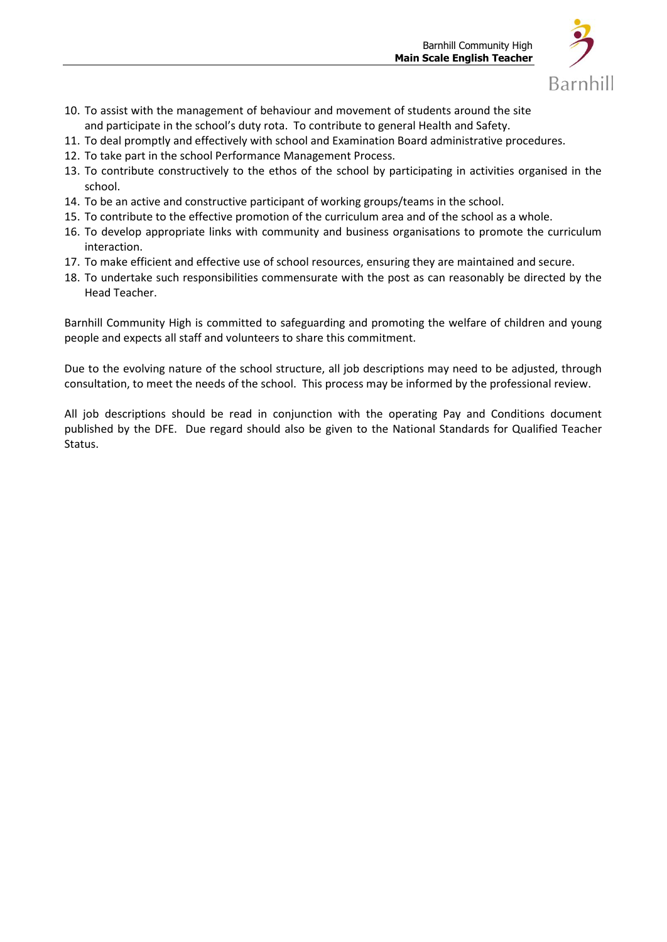

- 10. To assist with the management of behaviour and movement of students around the site and participate in the school's duty rota. To contribute to general Health and Safety.
- 11. To deal promptly and effectively with school and Examination Board administrative procedures.
- 12. To take part in the school Performance Management Process.
- 13. To contribute constructively to the ethos of the school by participating in activities organised in the school.
- 14. To be an active and constructive participant of working groups/teams in the school.
- 15. To contribute to the effective promotion of the curriculum area and of the school as a whole.
- 16. To develop appropriate links with community and business organisations to promote the curriculum interaction.
- 17. To make efficient and effective use of school resources, ensuring they are maintained and secure.
- 18. To undertake such responsibilities commensurate with the post as can reasonably be directed by the Head Teacher.

Barnhill Community High is committed to safeguarding and promoting the welfare of children and young people and expects all staff and volunteers to share this commitment.

Due to the evolving nature of the school structure, all job descriptions may need to be adjusted, through consultation, to meet the needs of the school. This process may be informed by the professional review.

All job descriptions should be read in conjunction with the operating Pay and Conditions document published by the DFE. Due regard should also be given to the National Standards for Qualified Teacher Status.